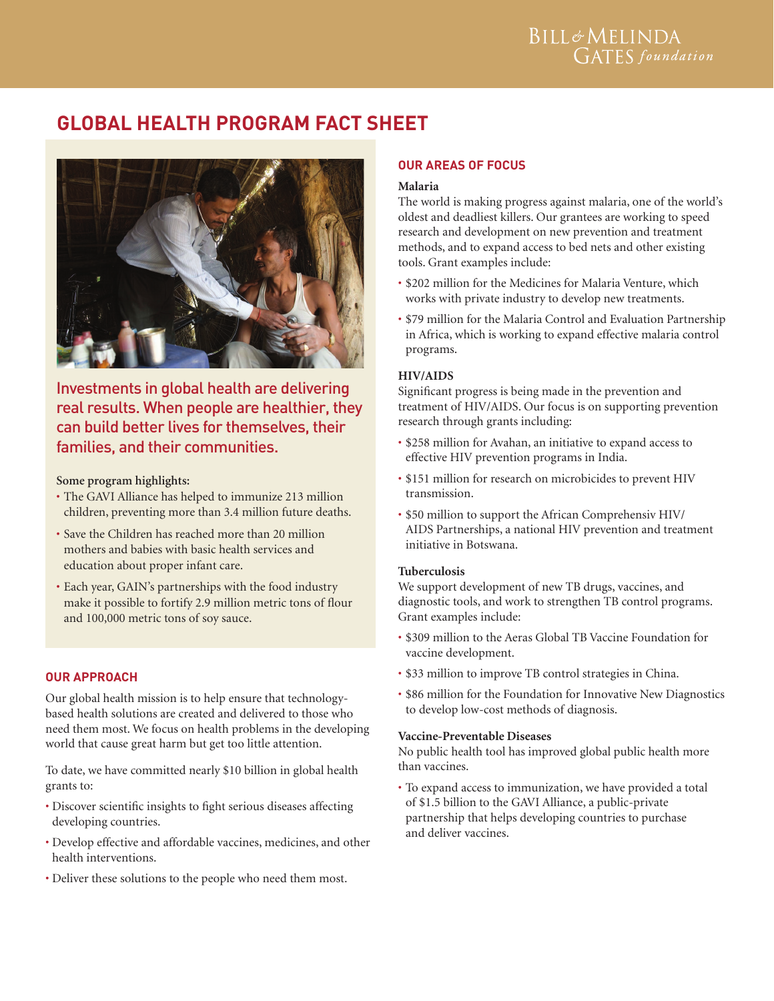# **GLOBAL HEALTH PROGRAM FACT SHEET**



Investments in global health are delivering real results. When people are healthier, they can build better lives for themselves, their families, and their communities.

## **Some program highlights:**

- The GAVI Alliance has helped to immunize 213 million children, preventing more than 3.4 million future deaths.
- Save the Children has reached more than 20 million mothers and babies with basic health services and education about proper infant care.
- Each year, GAIN's partnerships with the food industry make it possible to fortify 2.9 million metric tons of flour and 100,000 metric tons of soy sauce.

# **Our Approach**

Our global health mission is to help ensure that technologybased health solutions are created and delivered to those who need them most. We focus on health problems in the developing world that cause great harm but get too little attention.

To date, we have committed nearly \$10 billion in global health grants to:

- Discover scientific insights to fight serious diseases affecting developing countries.
- Develop effective and affordable vaccines, medicines, and other health interventions.
- Deliver these solutions to the people who need them most.

## **OUR AREAS OF FOCUS**

#### **Malaria**

The world is making progress against malaria, one of the world's oldest and deadliest killers. Our grantees are working to speed research and development on new prevention and treatment methods, and to expand access to bed nets and other existing tools. Grant examples include:

- \$202 million for the Medicines for Malaria Venture, which works with private industry to develop new treatments.
- \$79 million for the Malaria Control and Evaluation Partnership in Africa, which is working to expand effective malaria control programs.

## **HIV/AIDS**

Significant progress is being made in the prevention and treatment of HIV/AIDS. Our focus is on supporting prevention research through grants including:

- \$258 million for Avahan, an initiative to expand access to effective HIV prevention programs in India.
- \$151 million for research on microbicides to prevent HIV transmission.
- \$50 million to support the African Comprehensiv HIV/ AIDS Partnerships, a national HIV prevention and treatment initiative in Botswana.

## **Tuberculosis**

We support development of new TB drugs, vaccines, and diagnostic tools, and work to strengthen TB control programs. Grant examples include:

- \$309 million to the Aeras Global TB Vaccine Foundation for vaccine development.
- \$33 million to improve TB control strategies in China.
- \$86 million for the Foundation for Innovative New Diagnostics to develop low-cost methods of diagnosis.

#### **Vaccine-Preventable Diseases**

No public health tool has improved global public health more than vaccines.

• To expand access to immunization, we have provided a total of \$1.5 billion to the GAVI Alliance, a public-private partnership that helps developing countries to purchase and deliver vaccines.